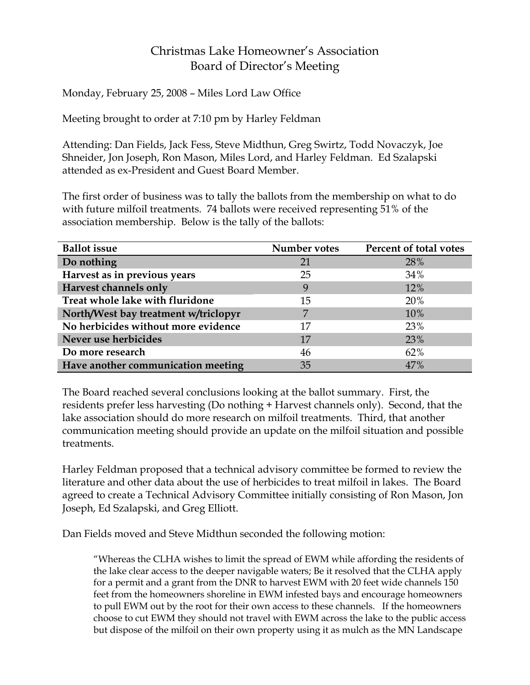## Christmas Lake Homeowner's Association Board of Director's Meeting

Monday, February 25, 2008 – Miles Lord Law Office

Meeting brought to order at 7:10 pm by Harley Feldman

Attending: Dan Fields, Jack Fess, Steve Midthun, Greg Swirtz, Todd Novaczyk, Joe Shneider, Jon Joseph, Ron Mason, Miles Lord, and Harley Feldman. Ed Szalapski attended as ex-President and Guest Board Member.

The first order of business was to tally the ballots from the membership on what to do with future milfoil treatments. 74 ballots were received representing 51% of the association membership. Below is the tally of the ballots:

| <b>Ballot</b> issue                  | Number votes | Percent of total votes |
|--------------------------------------|--------------|------------------------|
| Do nothing                           | 21           | 28%                    |
| Harvest as in previous years         | 25           | 34%                    |
| Harvest channels only                | 9            | 12%                    |
| Treat whole lake with fluridone      | 15           | 20%                    |
| North/West bay treatment w/triclopyr | 7            | 10%                    |
| No herbicides without more evidence  | 17           | 23%                    |
| Never use herbicides                 | 17           | 23%                    |
| Do more research                     | 46           | 62%                    |
| Have another communication meeting   | 35           | 47%                    |

The Board reached several conclusions looking at the ballot summary. First, the residents prefer less harvesting (Do nothing + Harvest channels only). Second, that the lake association should do more research on milfoil treatments. Third, that another communication meeting should provide an update on the milfoil situation and possible treatments.

Harley Feldman proposed that a technical advisory committee be formed to review the literature and other data about the use of herbicides to treat milfoil in lakes. The Board agreed to create a Technical Advisory Committee initially consisting of Ron Mason, Jon Joseph, Ed Szalapski, and Greg Elliott.

Dan Fields moved and Steve Midthun seconded the following motion:

"Whereas the CLHA wishes to limit the spread of EWM while affording the residents of the lake clear access to the deeper navigable waters; Be it resolved that the CLHA apply for a permit and a grant from the DNR to harvest EWM with 20 feet wide channels 150 feet from the homeowners shoreline in EWM infested bays and encourage homeowners to pull EWM out by the root for their own access to these channels. If the homeowners choose to cut EWM they should not travel with EWM across the lake to the public access but dispose of the milfoil on their own property using it as mulch as the MN Landscape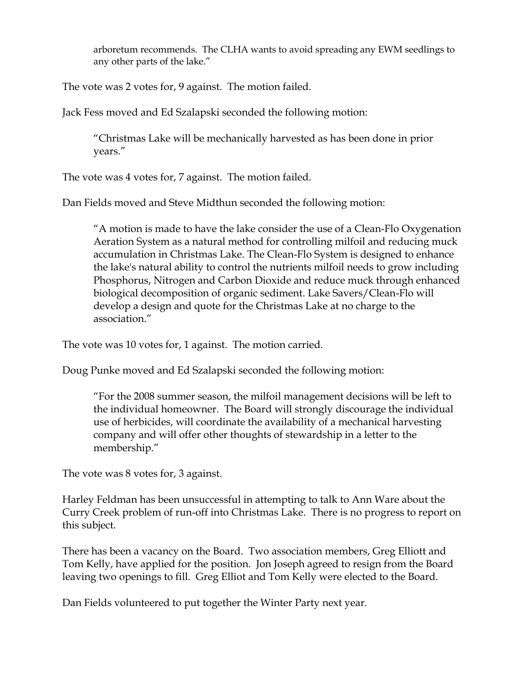arboretum recommends. The CLHA wants to avoid spreading any EWM seedlings to any other parts of the lake."

The vote was 2 votes for, 9 against. The motion failed.

Jack Fess moved and Ed Szalapski seconded the following motion:

"Christmas Lake will be mechanically harvested as has been done in prior years."

The vote was 4 votes for, 7 against. The motion failed.

Dan Fields moved and Steve Midthun seconded the following motion:

"A motion is made to have the lake consider the use of a Clean-Flo Oxygenation Aeration System as a natural method for controlling milfoil and reducing muck accumulation in Christmas Lake. The Clean-Flo System is designed to enhance the lake's natural ability to control the nutrients milfoil needs to grow including Phosphorus, Nitrogen and Carbon Dioxide and reduce muck through enhanced biological decomposition of organic sediment. Lake Savers/Clean-Flo will develop a design and quote for the Christmas Lake at no charge to the association."

The vote was 10 votes for, 1 against. The motion carried.

Doug Punke moved and Ed Szalapski seconded the following motion:

"For the 2008 summer season, the milfoil management decisions will be left to the individual homeowner. The Board will strongly discourage the individual use of herbicides, will coordinate the availability of a mechanical harvesting company and will offer other thoughts of stewardship in a letter to the membership."

The vote was 8 votes for, 3 against.

Harley Feldman has been unsuccessful in attempting to talk to Ann Ware about the Curry Creek problem of run-off into Christmas Lake. There is no progress to report on this subject.

There has been a vacancy on the Board. Two association members, Greg Elliott and Tom Kelly, have applied for the position. Jon Joseph agreed to resign from the Board leaving two openings to fill. Greg Elliot and Tom Kelly were elected to the Board.

Dan Fields volunteered to put together the Winter Party next year.